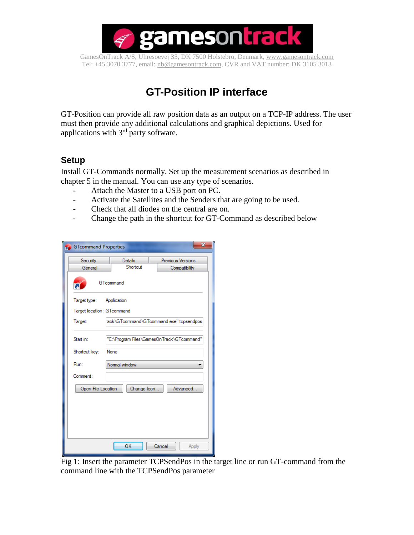

GamesOnTrack A/S, Uhresoevej 35, DK 7500 Holstebro, Denmark, [www.gamesontrack.com](http://www.gamesontrack.com/) Tel: +45 3070 3777, email: [nb@gamesontrack.com,](mailto:nb@gamesontrack.com) CVR and VAT number: DK 3105 3013

# **GT-Position IP interface**

GT-Position can provide all raw position data as an output on a TCP-IP address. The user must then provide any additional calculations and graphical depictions. Used for applications with 3rd party software.

### **Setup**

Install GT-Commands normally. Set up the measurement scenarios as described in chapter 5 in the manual. You can use any type of scenarios.

- Attach the Master to a USB port on PC.
- Activate the Satellites and the Senders that are going to be used.
- Check that all diodes on the central are on.
- Change the path in the shortcut for GT-Command as described below

| $\overline{\mathbf{x}}$<br><b>SC</b> GTcommand Properties |                                                           |
|-----------------------------------------------------------|-----------------------------------------------------------|
| Security<br>General                                       | Details<br>Previous Versions<br>Shortcut<br>Compatibility |
| GTcommand                                                 |                                                           |
| Target type:                                              | Application                                               |
| Target location: GTcommand                                |                                                           |
| Target:                                                   | ack\GTcommand\GTcommand.exe"tcpsendpos                    |
| Start in:                                                 | "C:\Program Files\GamesOnTrack\GTcommand"                 |
| Shortcut key:                                             | None                                                      |
| Run:                                                      | Normal window                                             |
| Comment:                                                  |                                                           |
| Advanced<br>Open File Location<br>Change Icon             |                                                           |
|                                                           |                                                           |
|                                                           |                                                           |
|                                                           |                                                           |
|                                                           |                                                           |
|                                                           | OK<br>Cancel<br>Apply                                     |

Fig 1: Insert the parameter TCPSendPos in the target line or run GT-command from the command line with the TCPSendPos parameter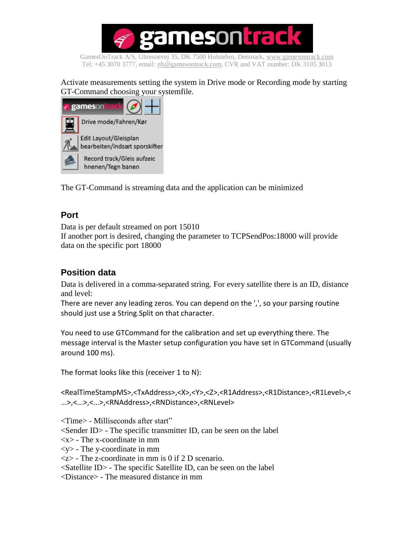

GamesOnTrack A/S, Uhresoevej 35, DK 7500 Holstebro, Denmark, [www.gamesontrack.com](http://www.gamesontrack.com/) Tel: +45 3070 3777, email: [nb@gamesontrack.com,](mailto:nb@gamesontrack.com) CVR and VAT number: DK 3105 3013

#### Activate measurements setting the system in Drive mode or Recording mode by starting GT-Command choosing your systemfile.



The GT-Command is streaming data and the application can be minimized

## **Port**

Data is per default streamed on port 15010 If another port is desired, changing the parameter to TCPSendPos:18000 will provide data on the specific port 18000

# **Position data**

Data is delivered in a comma-separated string. For every satellite there is an ID, distance and level:

There are never any leading zeros. You can depend on the ',', so your parsing routine should just use a String.Split on that character.

You need to use GTCommand for the calibration and set up everything there. The message interval is the Master setup configuration you have set in GTCommand (usually around 100 ms).

The format looks like this (receiver 1 to N):

<RealTimeStampMS>,<TxAddress>,<X>,<Y>,<Z>,<R1Address>,<R1Distance>,<R1Level>,< ...>,<...>,<...>,<RNAddress>,<RNDistance>,<RNLevel>

<Time> - Milliseconds after start" <Sender ID> - The specific transmitter ID, can be seen on the label  $\langle x \rangle$  - The x-coordinate in mm  $\langle y \rangle$  - The y-coordinate in mm  $\langle z \rangle$  - The z-coordinate in mm is 0 if 2 D scenario. <Satellite ID> - The specific Satellite ID, can be seen on the label <Distance> - The measured distance in mm